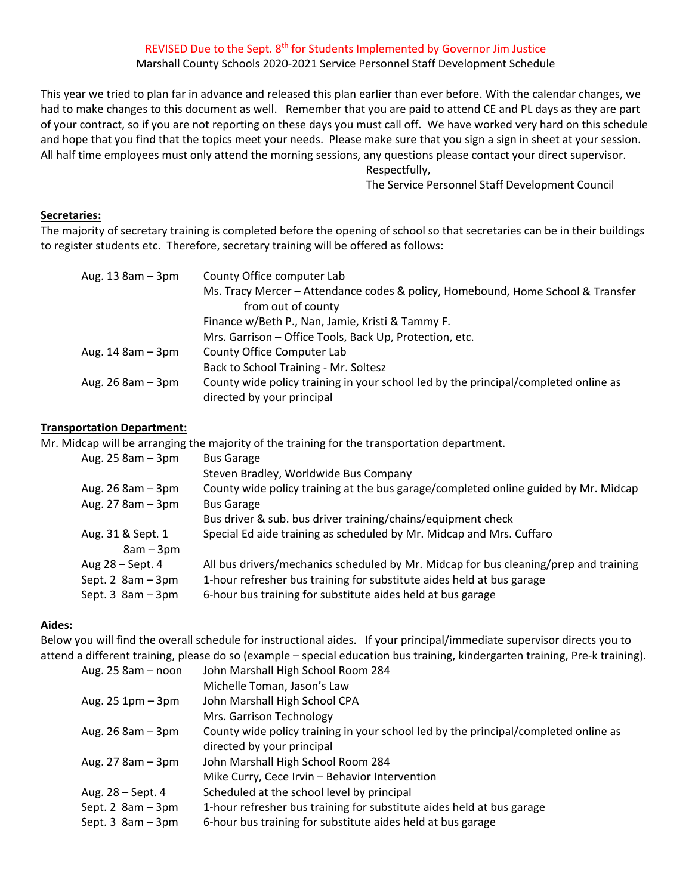### REVISED Due to the Sept. 8<sup>th</sup> for Students Implemented by Governor Jim Justice

# Marshall County Schools 2020‐2021 Service Personnel Staff Development Schedule

This year we tried to plan far in advance and released this plan earlier than ever before. With the calendar changes, we had to make changes to this document as well. Remember that you are paid to attend CE and PL days as they are part of your contract, so if you are not reporting on these days you must call off. We have worked very hard on this schedule and hope that you find that the topics meet your needs. Please make sure that you sign a sign in sheet at your session. All half time employees must only attend the morning sessions, any questions please contact your direct supervisor.

Respectfully,

The Service Personnel Staff Development Council

### **Secretaries:**

The majority of secretary training is completed before the opening of school so that secretaries can be in their buildings to register students etc. Therefore, secretary training will be offered as follows:

| Aug. 13 8am - 3pm     | County Office computer Lab                                                          |
|-----------------------|-------------------------------------------------------------------------------------|
|                       | Ms. Tracy Mercer – Attendance codes & policy, Homebound, Home School & Transfer     |
|                       | from out of county                                                                  |
|                       | Finance w/Beth P., Nan, Jamie, Kristi & Tammy F.                                    |
|                       | Mrs. Garrison - Office Tools, Back Up, Protection, etc.                             |
| Aug. $14$ 8am $-$ 3pm | County Office Computer Lab                                                          |
|                       | Back to School Training - Mr. Soltesz                                               |
| Aug. $26$ 8am $-$ 3pm | County wide policy training in your school led by the principal/completed online as |
|                       | directed by your principal                                                          |

### **Transportation Department:**

Mr. Midcap will be arranging the majority of the training for the transportation department.

| Aug. $25$ 8am $-$ 3pm | <b>Bus Garage</b>                                                                    |
|-----------------------|--------------------------------------------------------------------------------------|
|                       | Steven Bradley, Worldwide Bus Company                                                |
| Aug. $26$ 8am $-$ 3pm | County wide policy training at the bus garage/completed online guided by Mr. Midcap  |
| Aug. 27 8am - 3pm     | <b>Bus Garage</b>                                                                    |
|                       | Bus driver & sub. bus driver training/chains/equipment check                         |
| Aug. 31 & Sept. 1     | Special Ed aide training as scheduled by Mr. Midcap and Mrs. Cuffaro                 |
| $8am - 3pm$           |                                                                                      |
| Aug 28 - Sept. 4      | All bus drivers/mechanics scheduled by Mr. Midcap for bus cleaning/prep and training |
| Sept. 2 $8am - 3pm$   | 1-hour refresher bus training for substitute aides held at bus garage                |
| Sept. $3$ 8am $-3$ pm | 6-hour bus training for substitute aides held at bus garage                          |
|                       |                                                                                      |

### **Aides:**

Below you will find the overall schedule for instructional aides. If your principal/immediate supervisor directs you to attend a different training, please do so (example – special education bus training, kindergarten training, Pre‐k training).

| Aug. 25 8am - noon    | John Marshall High School Room 284                                                  |
|-----------------------|-------------------------------------------------------------------------------------|
|                       | Michelle Toman, Jason's Law                                                         |
| Aug. $25$ 1pm $-$ 3pm | John Marshall High School CPA                                                       |
|                       | Mrs. Garrison Technology                                                            |
| Aug. $26$ 8am $-$ 3pm | County wide policy training in your school led by the principal/completed online as |
|                       | directed by your principal                                                          |
| Aug. 27 8am - 3pm     | John Marshall High School Room 284                                                  |
|                       | Mike Curry, Cece Irvin - Behavior Intervention                                      |
| Aug. 28 - Sept. 4     | Scheduled at the school level by principal                                          |
| Sept. 2 $8am - 3pm$   | 1-hour refresher bus training for substitute aides held at bus garage               |
| Sept. $3$ 8am $-3$ pm | 6-hour bus training for substitute aides held at bus garage                         |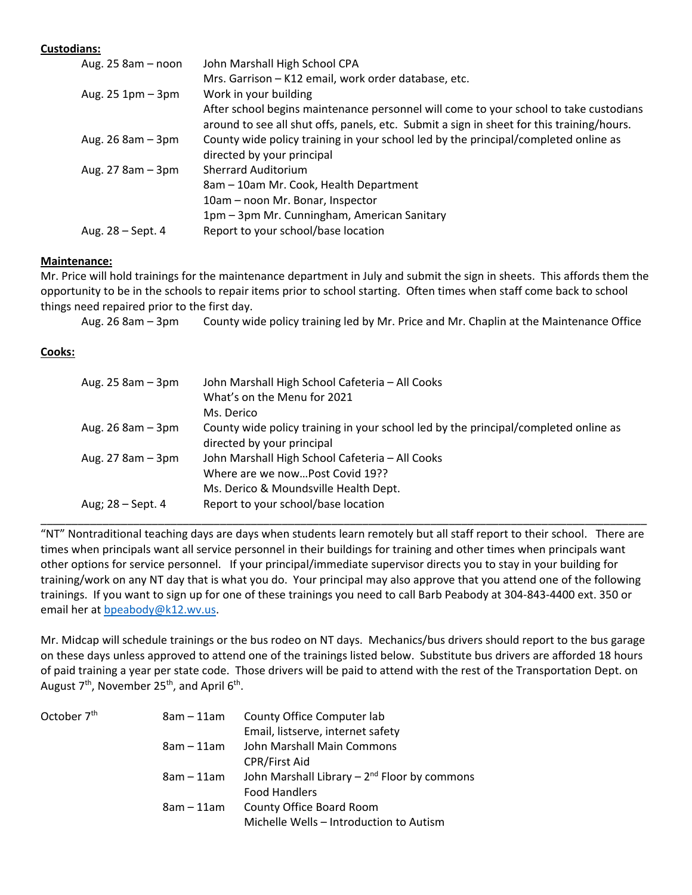## **Custodians:**

| Aug. 25 8am - noon    | John Marshall High School CPA                                                                                                                                                      |
|-----------------------|------------------------------------------------------------------------------------------------------------------------------------------------------------------------------------|
|                       | Mrs. Garrison - K12 email, work order database, etc.                                                                                                                               |
| Aug. $25$ 1pm $-$ 3pm | Work in your building                                                                                                                                                              |
|                       | After school begins maintenance personnel will come to your school to take custodians<br>around to see all shut offs, panels, etc. Submit a sign in sheet for this training/hours. |
| Aug. $26$ 8am $-$ 3pm | County wide policy training in your school led by the principal/completed online as<br>directed by your principal                                                                  |
| Aug. $27$ 8am $-$ 3pm | <b>Sherrard Auditorium</b>                                                                                                                                                         |
|                       | 8am - 10am Mr. Cook, Health Department                                                                                                                                             |
|                       | 10am - noon Mr. Bonar, Inspector                                                                                                                                                   |
|                       | 1pm - 3pm Mr. Cunningham, American Sanitary                                                                                                                                        |
| Aug. $28 - Sept.4$    | Report to your school/base location                                                                                                                                                |
|                       |                                                                                                                                                                                    |

## **Maintenance:**

Mr. Price will hold trainings for the maintenance department in July and submit the sign in sheets. This affords them the opportunity to be in the schools to repair items prior to school starting. Often times when staff come back to school things need repaired prior to the first day.

Aug. 26 8am – 3pm County wide policy training led by Mr. Price and Mr. Chaplin at the Maintenance Office

# **Cooks:**

| Aug. $25$ 8am $-$ 3pm | John Marshall High School Cafeteria - All Cooks<br>What's on the Menu for 2021<br>Ms. Derico |
|-----------------------|----------------------------------------------------------------------------------------------|
|                       |                                                                                              |
| Aug. $26$ 8am $-$ 3pm | County wide policy training in your school led by the principal/completed online as          |
|                       | directed by your principal                                                                   |
| Aug. $27$ 8am $-$ 3pm | John Marshall High School Cafeteria - All Cooks                                              |
|                       | Where are we nowPost Covid 19??                                                              |
|                       | Ms. Derico & Moundsville Health Dept.                                                        |
| Aug; 28 – Sept. 4     | Report to your school/base location                                                          |
|                       |                                                                                              |

"NT" Nontraditional teaching days are days when students learn remotely but all staff report to their school. There are times when principals want all service personnel in their buildings for training and other times when principals want other options for service personnel. If your principal/immediate supervisor directs you to stay in your building for training/work on any NT day that is what you do. Your principal may also approve that you attend one of the following trainings. If you want to sign up for one of these trainings you need to call Barb Peabody at 304‐843‐4400 ext. 350 or email her at bpeabody@k12.wv.us.

\_\_\_\_\_\_\_\_\_\_\_\_\_\_\_\_\_\_\_\_\_\_\_\_\_\_\_\_\_\_\_\_\_\_\_\_\_\_\_\_\_\_\_\_\_\_\_\_\_\_\_\_\_\_\_\_\_\_\_\_\_\_\_\_\_\_\_\_\_\_\_\_\_\_\_\_\_\_\_\_\_\_\_\_\_\_\_\_\_\_\_\_\_\_\_\_\_\_

Mr. Midcap will schedule trainings or the bus rodeo on NT days. Mechanics/bus drivers should report to the bus garage on these days unless approved to attend one of the trainings listed below. Substitute bus drivers are afforded 18 hours of paid training a year per state code. Those drivers will be paid to attend with the rest of the Transportation Dept. on August  $7<sup>th</sup>$ , November 25<sup>th</sup>, and April 6<sup>th</sup>.

| October 7 <sup>th</sup> | $8am - 11am$ | County Office Computer lab                       |
|-------------------------|--------------|--------------------------------------------------|
|                         |              | Email, listserve, internet safety                |
|                         | 8am – 11am   | John Marshall Main Commons                       |
|                         |              | <b>CPR/First Aid</b>                             |
|                         | $8am - 11am$ | John Marshall Library $-2^{nd}$ Floor by commons |
|                         |              | <b>Food Handlers</b>                             |
|                         | $8am - 11am$ | County Office Board Room                         |
|                         |              | Michelle Wells - Introduction to Autism          |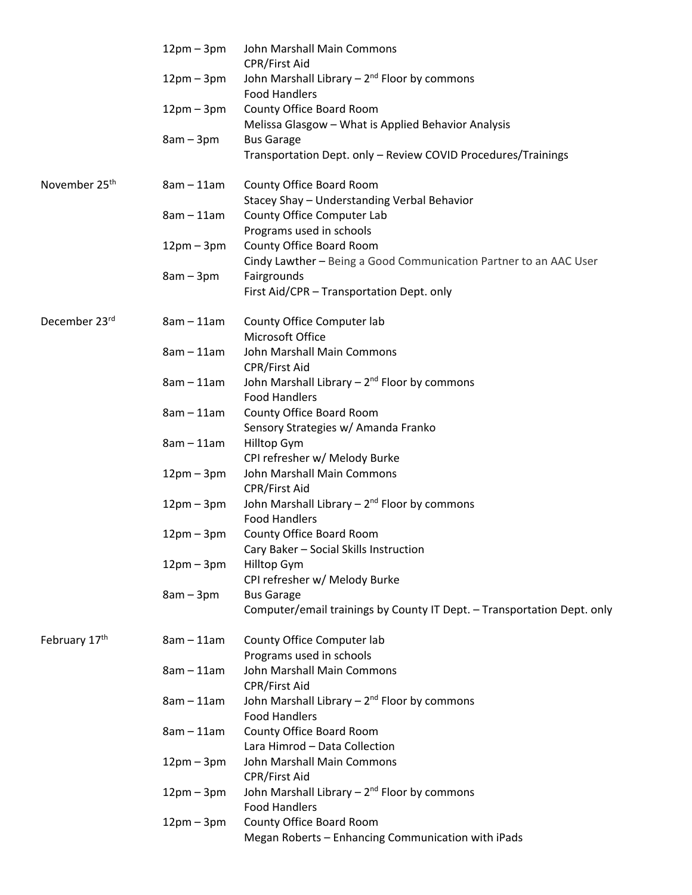|                           | $12pm - 3pm$ | John Marshall Main Commons<br>CPR/First Aid                              |
|---------------------------|--------------|--------------------------------------------------------------------------|
|                           | $12pm - 3pm$ | John Marshall Library $-2^{nd}$ Floor by commons                         |
|                           |              | <b>Food Handlers</b>                                                     |
|                           | $12pm-3pm$   | County Office Board Room                                                 |
|                           |              | Melissa Glasgow - What is Applied Behavior Analysis<br><b>Bus Garage</b> |
|                           | $8am - 3pm$  | Transportation Dept. only - Review COVID Procedures/Trainings            |
| November 25 <sup>th</sup> | $8am - 11am$ | County Office Board Room                                                 |
|                           |              | Stacey Shay - Understanding Verbal Behavior                              |
|                           | $8am - 11am$ | County Office Computer Lab                                               |
|                           |              | Programs used in schools                                                 |
|                           | $12pm-3pm$   | County Office Board Room                                                 |
|                           |              | Cindy Lawther - Being a Good Communication Partner to an AAC User        |
|                           | $8am - 3pm$  | Fairgrounds                                                              |
|                           |              | First Aid/CPR - Transportation Dept. only                                |
| December 23rd             | $8am - 11am$ | County Office Computer lab                                               |
|                           |              | Microsoft Office                                                         |
|                           | $8am - 11am$ | John Marshall Main Commons                                               |
|                           |              | CPR/First Aid                                                            |
|                           | $8am - 11am$ | John Marshall Library $-2^{nd}$ Floor by commons                         |
|                           | $8am - 11am$ | <b>Food Handlers</b>                                                     |
|                           |              | County Office Board Room                                                 |
|                           | $8am - 11am$ | Sensory Strategies w/ Amanda Franko<br>Hilltop Gym                       |
|                           |              | CPI refresher w/ Melody Burke                                            |
|                           | $12pm - 3pm$ | John Marshall Main Commons                                               |
|                           |              | CPR/First Aid                                                            |
|                           | $12pm - 3pm$ | John Marshall Library - 2 <sup>nd</sup> Floor by commons                 |
|                           |              | <b>Food Handlers</b>                                                     |
|                           | $12pm - 3pm$ | County Office Board Room                                                 |
|                           |              | Cary Baker - Social Skills Instruction                                   |
|                           | $12pm - 3pm$ | Hilltop Gym                                                              |
|                           |              | CPI refresher w/ Melody Burke                                            |
|                           | $8am - 3pm$  | <b>Bus Garage</b>                                                        |
|                           |              | Computer/email trainings by County IT Dept. - Transportation Dept. only  |
| February 17th             | $8am - 11am$ | County Office Computer lab                                               |
|                           |              | Programs used in schools                                                 |
|                           | $8am - 11am$ | John Marshall Main Commons                                               |
|                           |              | CPR/First Aid                                                            |
|                           | $8am - 11am$ | John Marshall Library $-2^{nd}$ Floor by commons                         |
|                           |              | <b>Food Handlers</b>                                                     |
|                           | $8am - 11am$ | County Office Board Room                                                 |
|                           |              | Lara Himrod - Data Collection                                            |
|                           | $12pm - 3pm$ | John Marshall Main Commons                                               |
|                           |              | CPR/First Aid                                                            |
|                           | $12pm - 3pm$ | John Marshall Library $-2^{nd}$ Floor by commons                         |
|                           |              | <b>Food Handlers</b>                                                     |
|                           | $12pm-3pm$   | County Office Board Room                                                 |
|                           |              | Megan Roberts - Enhancing Communication with iPads                       |